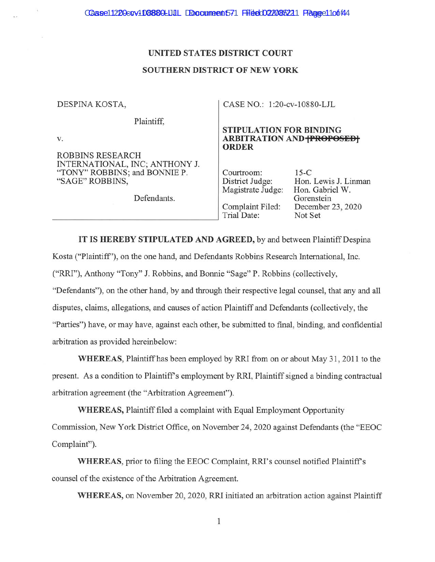#### UNITED STATES DISTRICT COURT

#### **SOUTHERN DISTRICT OF NEW YORK**

| CASE NO.: 1:20-cv-10880-LJL                                                        |                                       |
|------------------------------------------------------------------------------------|---------------------------------------|
|                                                                                    |                                       |
| <b>STIPULATION FOR BINDING</b><br><b>ARBITRATION AND FROPOSEDF</b><br><b>ORDER</b> |                                       |
|                                                                                    |                                       |
|                                                                                    |                                       |
| Courtroom:                                                                         | $15-C$                                |
| District Judge:                                                                    | Hon. Lewis J. Linman                  |
|                                                                                    | Hon. Gabriel W.                       |
|                                                                                    | Gorenstein                            |
|                                                                                    | December 23, 2020                     |
| Trial Date:                                                                        | Not Set                               |
|                                                                                    |                                       |
|                                                                                    | Magistrate Judge:<br>Complaint Filed: |

IT IS HEREBY STIPULATED AND AGREED, by and between Plaintiff Despina Kosta ("Plaintiff"), on the one hand, and Defendants Robbins Research International, Inc. ("RRI"), Anthony "Tony" J. Robbins, and Bonnie "Sage" P. Robbins (collectively, "Defendants"), on the other hand, by and through their respective legal counsel, that any and all disputes, claims, allegations, and causes of action Plaintiff and Defendants (collectively, the "Parties") have, or may have, against each other, be submitted to final, binding, and confidential arbitration as provided hereinbelow:

WHEREAS, Plaintiff has been employed by RRI from on or about May 31, 2011 to the present. As a condition to Plaintiff's employment by RRI, Plaintiff signed a binding contractual arbitration agreement (the "Arbitration Agreement").

WHEREAS, Plaintiff filed a complaint with Equal Employment Opportunity Commission, New York District Office, on November 24, 2020 against Defendants (the "EEOC Complaint").

WHEREAS, prior to filing the EEOC Complaint, RRI's counsel notified Plaintiff's counsel of the existence of the Arbitration Agreement.

WHEREAS, on November 20, 2020, RRI initiated an arbitration action against Plaintiff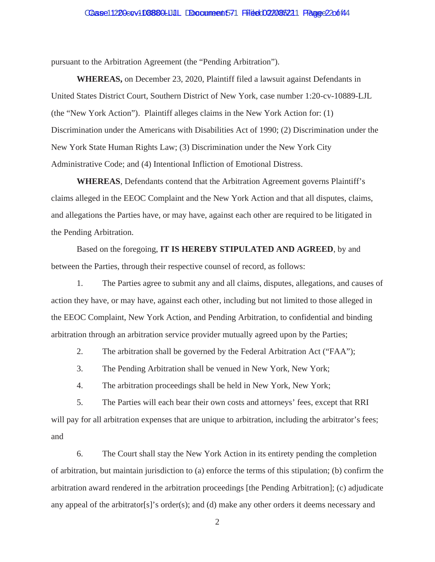## Case 1220-cv + 108880-LJJL DDocument 571 Filed 02/085221 Fagge 2206144

pursuant to the Arbitration Agreement (the "Pending Arbitration").

**WHEREAS,** on December 23, 2020, Plaintiff filed a lawsuit against Defendants in United States District Court, Southern District of New York, case number 1:20-cv-10889-LJL (the "New York Action"). Plaintiff alleges claims in the New York Action for: (1) Discrimination under the Americans with Disabilities Act of 1990; (2) Discrimination under the New York State Human Rights Law; (3) Discrimination under the New York City Administrative Code; and (4) Intentional Infliction of Emotional Distress.

**WHEREAS**, Defendants contend that the Arbitration Agreement governs Plaintiff's claims alleged in the EEOC Complaint and the New York Action and that all disputes, claims, and allegations the Parties have, or may have, against each other are required to be litigated in the Pending Arbitration.

Based on the foregoing, **IT IS HEREBY STIPULATED AND AGREED**, by and between the Parties, through their respective counsel of record, as follows:

1. The Parties agree to submit any and all claims, disputes, allegations, and causes of action they have, or may have, against each other, including but not limited to those alleged in the EEOC Complaint, New York Action, and Pending Arbitration, to confidential and binding arbitration through an arbitration service provider mutually agreed upon by the Parties;

2. The arbitration shall be governed by the Federal Arbitration Act ("FAA");

3. The Pending Arbitration shall be venued in New York, New York;

4. The arbitration proceedings shall be held in New York, New York;

5. The Parties will each bear their own costs and attorneys' fees, except that RRI will pay for all arbitration expenses that are unique to arbitration, including the arbitrator's fees; and

6. The Court shall stay the New York Action in its entirety pending the completion of arbitration, but maintain jurisdiction to (a) enforce the terms of this stipulation; (b) confirm the arbitration award rendered in the arbitration proceedings [the Pending Arbitration]; (c) adjudicate any appeal of the arbitrator[s]'s order(s); and (d) make any other orders it deems necessary and

2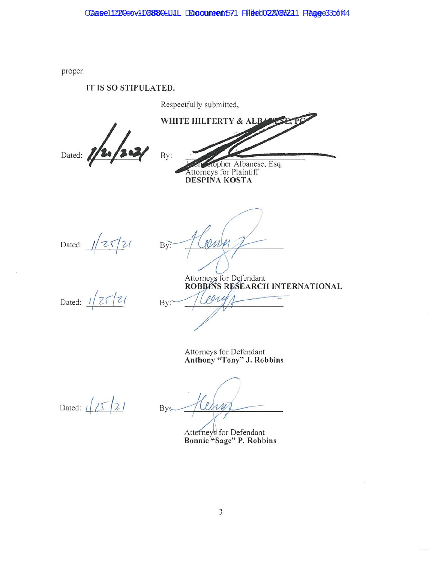proper.

# IT IS SO STIPULATED.

Respectfully submitted,

Dated: 1/2

WHITE HILFERTY & ALBA By: opher Albanese, Esq. Attorneys for Plaintiff **DESPINA KOSTA** 

Dated:  $\sqrt{25/21}$ 

para  $By:$ 

Attorneys for Defendant<br>ROBBINS RESEARCH INTERNATIONAL

Dated:  $1/25/21$ 

 $By:$ 

Attorneys for Defendant<br>Anthony "Tony" J. Robbins

Dated:  $\sqrt{25/21}$ 

By:

Atterneys for Defendant<br>Bonnie "Sage" P. Robbins